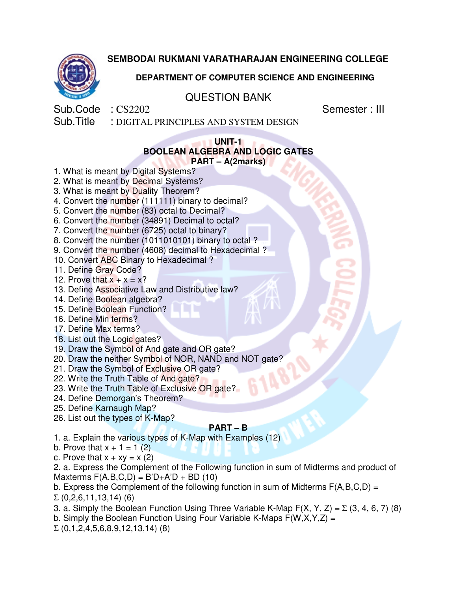



# **DEPARTMENT OF COMPUTER SCIENCE AND ENGINEERING**

# QUESTION BANK

Sub.Code : CS2202 Semester : III

Sub.Title : DIGITAL PRINCIPLES AND SYSTEM DESIGN

#### **UNIT-1 BOOLEAN ALGEBRA AND LOGIC GATES PART – A(2marks)**

1. What is meant by Digital Systems?

- 2. What is meant by Decimal Systems?
- 3. What is meant by Duality Theorem?
- 4. Convert the number (111111) binary to decimal?
- 5. Convert the number (83) octal to Decimal?
- 6. Convert the number (34891) Decimal to octal?
- 7. Convert the number (6725) octal to binary?
- 8. Convert the number (1011010101) binary to octal ?
- 9. Convert the number (4608) decimal to Hexadecimal ?
- 10. Convert ABC Binary to Hexadecimal ?
- 11. Define Gray Code?
- 12. Prove that  $x + x = x$ ?
- 13. Define Associative Law and Distributive law?
- 14. Define Boolean algebra?
- 15. Define Boolean Function?
- 16. Define Min terms?
- 17. Define Max terms?
- 18. List out the Logic gates?
- 19. Draw the Symbol of And gate and OR gate?
- 20. Draw the neither Symbol of NOR, NAND and NOT gate?
- 21. Draw the Symbol of Exclusive OR gate?
- 22. Write the Truth Table of And gate?
- 23. Write the Truth Table of Exclusive OR gate?
- 24. Define Demorgan's Theorem?
- 25. Define Karnaugh Map?
- 26. List out the types of K-Map?

### **PART – B**

- 1. a. Explain the various types of K-Map with Examples (12)
- b. Prove that  $x + 1 = 1$  (2)
- c. Prove that  $x + xy = x (2)$
- 2. a. Express the Complement of the Following function in sum of Midterms and product of Maxterms  $F(A,B,C,D) = B'D + A'D + BD(10)$
- b. Express the Complement of the following function in sum of Midterms  $F(A,B,C,D) =$  $\Sigma$  (0,2,6,11,13,14) (6)
- 3. a. Simply the Boolean Function Using Three Variable K-Map  $F(X, Y, Z) = \Sigma (3, 4, 6, 7)$  (8)
- b. Simply the Boolean Function Using Four Variable K-Maps  $F(W,X,Y,Z) =$
- $\Sigma$  (0,1,2,4,5,6,8,9,12,13,14) (8)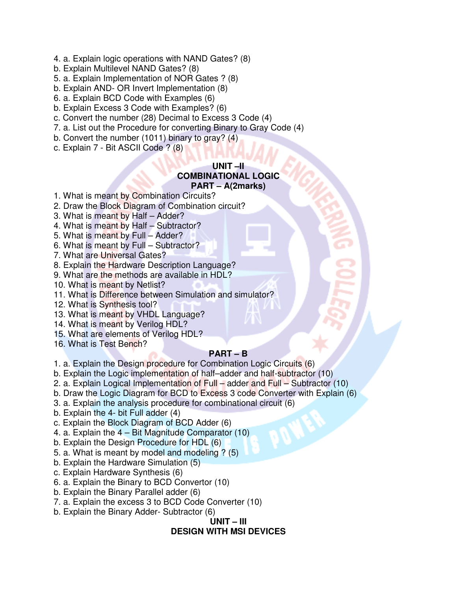- 4. a. Explain logic operations with NAND Gates? (8)
- b. Explain Multilevel NAND Gates? (8)
- 5. a. Explain Implementation of NOR Gates ? (8)
- b. Explain AND- OR Invert Implementation (8)
- 6. a. Explain BCD Code with Examples (6)
- b. Explain Excess 3 Code with Examples? (6)
- c. Convert the number (28) Decimal to Excess 3 Code (4)
- 7. a. List out the Procedure for converting Binary to Gray Code (4)
- b. Convert the number (1011) binary to gray? (4)
- c. Explain 7 Bit ASCII Code ? (8)

#### **UNIT –II COMBINATIONAL LOGIC PART – A(2marks)**

- 
- 1. What is meant by Combination Circuits?
- 2. Draw the Block Diagram of Combination circuit?
- 3. What is meant by Half Adder?
- 4. What is meant by Half Subtractor?
- 5. What is meant by Full Adder?
- 6. What is meant by Full Subtractor?
- 7. What are Universal Gates?
- 8. Explain the Hardware Description Language?
- 9. What are the methods are available in HDL?
- 10. What is meant by Netlist?
- 11. What is Difference between Simulation and simulator?
- 12. What is Synthesis tool?
- 13. What is meant by VHDL Language?
- 14. What is meant by Verilog HDL?
- 15. What are elements of Verilog HDL?
- 16. What is Test Bench?

### **PART – B**

- 1. a. Explain the Design procedure for Combination Logic Circuits (6)
- b. Explain the Logic implementation of half–adder and half-subtractor (10)
- 2. a. Explain Logical Implementation of Full adder and Full Subtractor (10)
- b. Draw the Logic Diagram for BCD to Excess 3 code Converter with Explain (6)
- 3. a. Explain the analysis procedure for combinational circuit (6)
- b. Explain the 4- bit Full adder (4)
- c. Explain the Block Diagram of BCD Adder (6)
- 4. a. Explain the 4 Bit Magnitude Comparator (10)
- b. Explain the Design Procedure for HDL (6)
- 5. a. What is meant by model and modeling ? (5)
- b. Explain the Hardware Simulation (5)
- c. Explain Hardware Synthesis (6)
- 6. a. Explain the Binary to BCD Convertor (10)
- b. Explain the Binary Parallel adder (6)
- 7. a. Explain the excess 3 to BCD Code Converter (10)
- b. Explain the Binary Adder- Subtractor (6)

### **UNIT – III DESIGN WITH MSI DEVICES**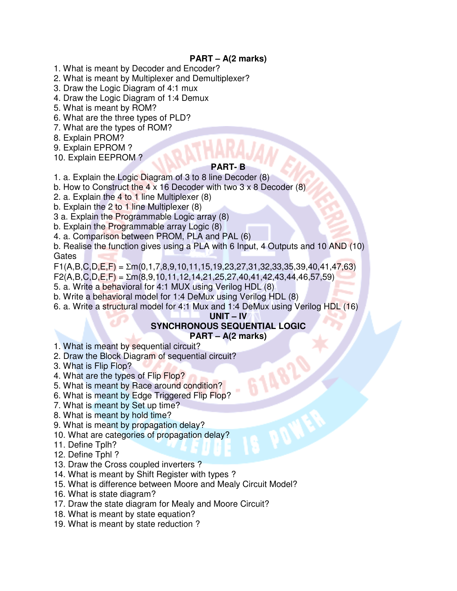## **PART – A(2 marks)**

- 1. What is meant by Decoder and Encoder?
- 2. What is meant by Multiplexer and Demultiplexer?
- 3. Draw the Logic Diagram of 4:1 mux
- 4. Draw the Logic Diagram of 1:4 Demux
- 5. What is meant by ROM?
- 6. What are the three types of PLD?
- 7. What are the types of ROM?
- 8. Explain PROM?
- 9. Explain EPROM ?
- 10. Explain EEPROM ?

### **PART- B**

1. a. Explain the Logic Diagram of 3 to 8 line Decoder (8)

- b. How to Construct the 4 x 16 Decoder with two 3 x 8 Decoder  $(8)$
- 2. a. Explain the 4 to 1 line Multiplexer (8)
- b. Explain the 2 to 1 line Multiplexer (8)
- 3 a. Explain the Programmable Logic array (8)
- b. Explain the Programmable array Logic (8)
- 4. a. Comparison between PROM, PLA and PAL (6)
- b. Realise the function gives using a PLA with 6 Input, 4 Outputs and 10 AND (10) **Gates**

 $F1(A,B,C,D,E,F) = \Sigma m(0,1,7,8,9,10,11,15,19,23,27,31,32,33,35,39,40,41,47,63)$ 

- $F2(A,B,C,D,E,F) = \Sigma m(8.9,10,11,12,14,21,25,27,40,41,42,43,44,46,57,59)$
- 5. a. Write a behavioral for 4:1 MUX using Verilog HDL (8)
- b. Write a behavioral model for 1:4 DeMux using Verilog HDL (8)
- 6. a. Write a structural model for 4:1 Mux and 1:4 DeMux using Verilog HDL (16)

### **UNIT – IV**

### **SYNCHRONOUS SEQUENTIAL LOGIC PART – A(2 marks)**

- 1. What is meant by sequential circuit?
- 2. Draw the Block Diagram of sequential circuit?
- 3. What is Flip Flop?
- 4. What are the types of Flip Flop?
- 5. What is meant by Race around condition?
- 6. What is meant by Edge Triggered Flip Flop?
- 7. What is meant by Set up time?
- 8. What is meant by hold time?
- 9. What is meant by propagation delay?
- 10. What are categories of propagation delay?
- 11. Define Tplh?
- 12. Define Tphl ?
- 13. Draw the Cross coupled inverters ?
- 14. What is meant by Shift Register with types ?
- 15. What is difference between Moore and Mealy Circuit Model?
- 16. What is state diagram?
- 17. Draw the state diagram for Mealy and Moore Circuit?
- 18. What is meant by state equation?
- 19. What is meant by state reduction ?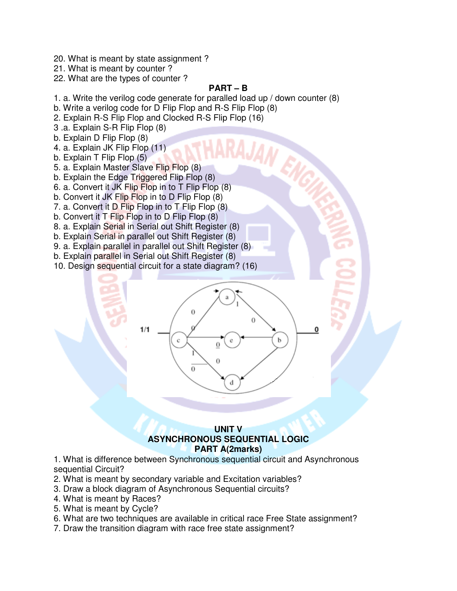- 20. What is meant by state assignment ?
- 21. What is meant by counter ?

22. What are the types of counter ?

## **PART – B**

- 1. a. Write the verilog code generate for paralled load up / down counter (8)
- b. Write a verilog code for D Flip Flop and R-S Flip Flop (8)
- 2. Explain R-S Flip Flop and Clocked R-S Flip Flop (16)
- 3 .a. Explain S-R Flip Flop (8)
- b. Explain D Flip Flop (8)
- 4. a. Explain JK Flip Flop (11)
- b. Explain T Flip Flop (5)
- 5. a. Explain Master Slave Flip Flop (8)
- b. Explain the Edge Triggered Flip Flop (8)
- 6. a. Convert it JK Flip Flop in to T Flip Flop (8)
- b. Convert it JK Flip Flop in to D Flip Flop (8)
- 7. a. Convert it D Flip Flop in to T Flip Flop (8)
- b. Convert it T Flip Flop in to D Flip Flop (8)
- 8. a. Explain Serial in Serial out Shift Register (8)
- b. Explain Serial in parallel out Shift Register (8)
- 9. a. Explain parallel in parallel out Shift Register (8)
- b. Explain parallel in Serial out Shift Register (8)
- 10. Design sequential circuit for a state diagram? (16)



### **UNIT V ASYNCHRONOUS SEQUENTIAL LOGIC PART A(2marks)**

1. What is difference between Synchronous sequential circuit and Asynchronous sequential Circuit?

- 2. What is meant by secondary variable and Excitation variables?
- 3. Draw a block diagram of Asynchronous Sequential circuits?
- 4. What is meant by Races?
- 5. What is meant by Cycle?
- 6. What are two techniques are available in critical race Free State assignment?
- 7. Draw the transition diagram with race free state assignment?